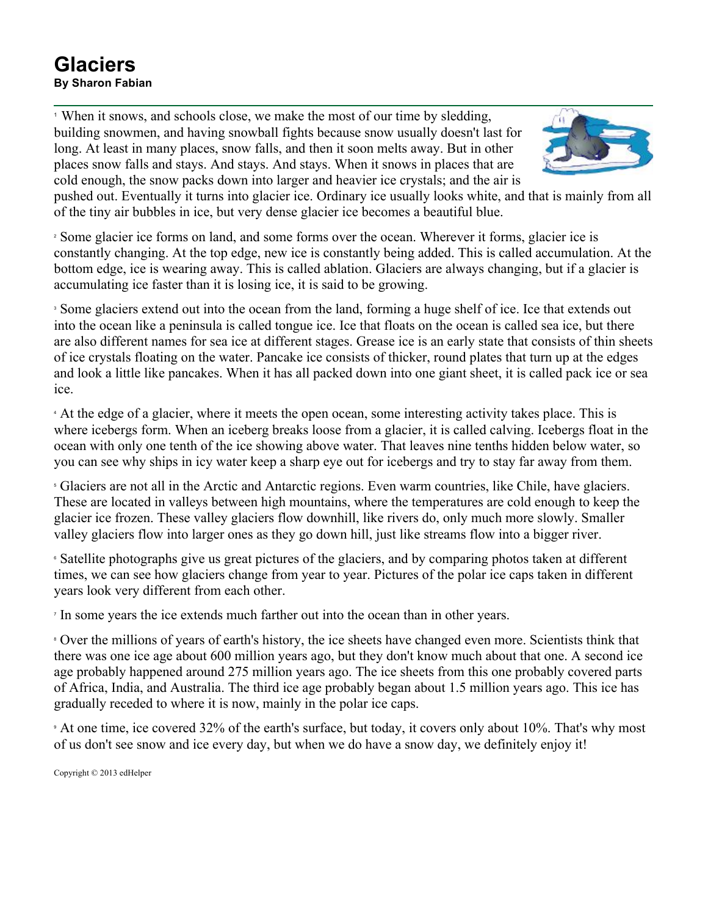## **Glaciers By Sharon Fabian**

<sup>1</sup> When it snows, and schools close, we make the most of our time by sledding, building snowmen, and having snowball fights because snow usually doesn't last for long. At least in many places, snow falls, and then it soon melts away. But in other places snow falls and stays. And stays. And stays. When it snows in places that are cold enough, the snow packs down into larger and heavier ice crystals; and the air is



pushed out. Eventually it turns into glacier ice. Ordinary ice usually looks white, and that is mainly from all of the tiny air bubbles in ice, but very dense glacier ice becomes a beautiful blue.

<sup>2</sup> Some glacier ice forms on land, and some forms over the ocean. Wherever it forms, glacier ice is constantly changing. At the top edge, new ice is constantly being added. This is called accumulation. At the bottom edge, ice is wearing away. This is called ablation. Glaciers are always changing, but if a glacier is accumulating ice faster than it is losing ice, it is said to be growing.

<sup>3</sup> Some glaciers extend out into the ocean from the land, forming a huge shelf of ice. Ice that extends out into the ocean like a peninsula is called tongue ice. Ice that floats on the ocean is called sea ice, but there are also different names for sea ice at different stages. Grease ice is an early state that consists of thin sheets of ice crystals floating on the water. Pancake ice consists of thicker, round plates that turn up at the edges and look a little like pancakes. When it has all packed down into one giant sheet, it is called pack ice or sea ice.

<sup>4</sup> At the edge of a glacier, where it meets the open ocean, some interesting activity takes place. This is where icebergs form. When an iceberg breaks loose from a glacier, it is called calving. Icebergs float in the ocean with only one tenth of the ice showing above water. That leaves nine tenths hidden below water, so you can see why ships in icy water keep a sharp eye out for icebergs and try to stay far away from them.

<sup>5</sup> Glaciers are not all in the Arctic and Antarctic regions. Even warm countries, like Chile, have glaciers. These are located in valleys between high mountains, where the temperatures are cold enough to keep the glacier ice frozen. These valley glaciers flow downhill, like rivers do, only much more slowly. Smaller valley glaciers flow into larger ones as they go down hill, just like streams flow into a bigger river.

<sup>6</sup> Satellite photographs give us great pictures of the glaciers, and by comparing photos taken at different times, we can see how glaciers change from year to year. Pictures of the polar ice caps taken in different years look very different from each other.

<sup>7</sup> In some years the ice extends much farther out into the ocean than in other years.

<sup>8</sup> Over the millions of years of earth's history, the ice sheets have changed even more. Scientists think that there was one ice age about 600 million years ago, but they don't know much about that one. A second ice age probably happened around 275 million years ago. The ice sheets from this one probably covered parts of Africa, India, and Australia. The third ice age probably began about 1.5 million years ago. This ice has gradually receded to where it is now, mainly in the polar ice caps.

<sup>9</sup> At one time, ice covered 32% of the earth's surface, but today, it covers only about 10%. That's why most of us don't see snow and ice every day, but when we do have a snow day, we definitely enjoy it!

Copyright © 2013 edHelper